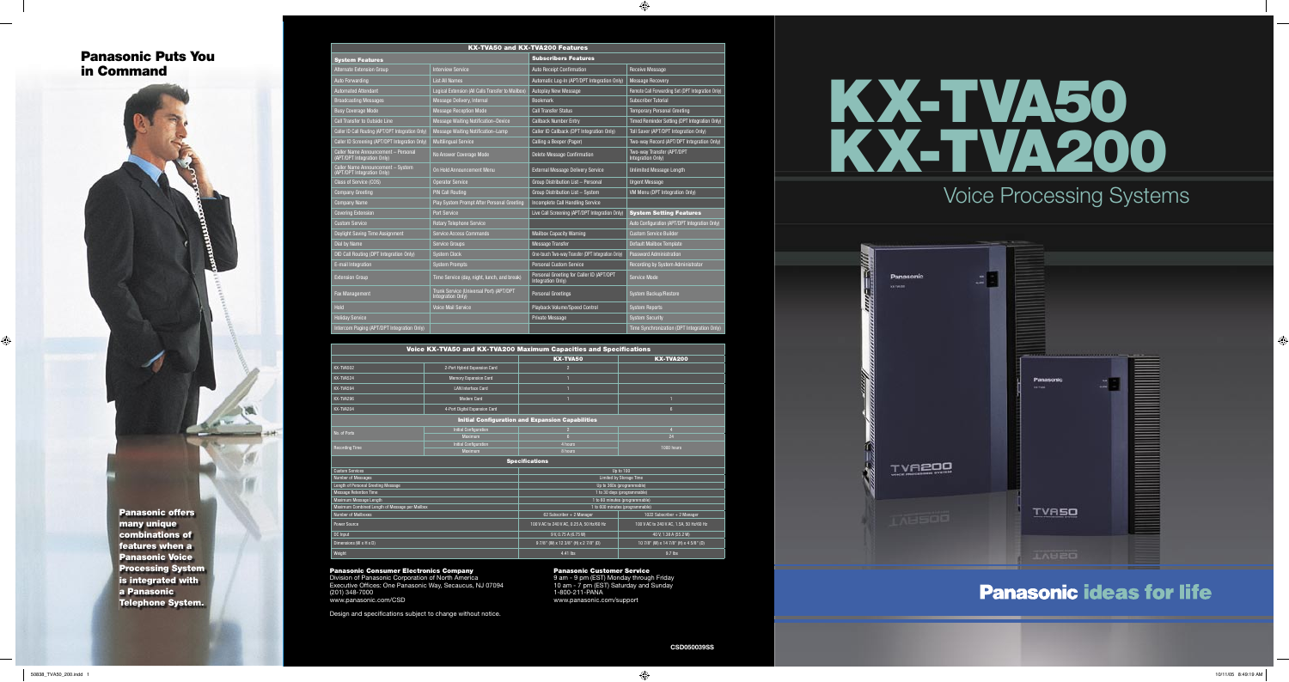

# Voice Processing Systems



# **Panasonic ideas for life**

| Voice KX-TVA50 and KX-TVA200 Maximum Capacities and Specifications |                               |                                           |                                         |  |
|--------------------------------------------------------------------|-------------------------------|-------------------------------------------|-----------------------------------------|--|
|                                                                    |                               | <b>KX-TVA50</b>                           | <b>KX-TVA200</b>                        |  |
| KX-TVA502                                                          | 2-Port Hybrid Expansion Card  | $\overline{2}$                            |                                         |  |
| KX-TVA524                                                          | <b>Memory Expansion Card</b>  |                                           |                                         |  |
| KX-TVA594                                                          | <b>LAN Interface Card</b>     |                                           |                                         |  |
| KX-TVA296                                                          | <b>Modem Card</b>             |                                           |                                         |  |
| KX-TVA204                                                          | 4-Port Digital Expansion Card |                                           | 6 <sup>5</sup>                          |  |
| <b>Initial Configuration and Expansion Capabilities</b>            |                               |                                           |                                         |  |
| No. of Ports                                                       | <b>Initial Configuration</b>  | $\overline{2}$                            | $\overline{4}$                          |  |
|                                                                    | Maximum                       | $6 \overline{6}$                          | 24                                      |  |
| <b>Recording Time</b>                                              | <b>Initial Configuration</b>  | 4 hours                                   | 1000 hours                              |  |
|                                                                    | Maximum                       | 8 hours                                   |                                         |  |
| <b>Specifications</b>                                              |                               |                                           |                                         |  |
| <b>Custom Services</b>                                             |                               | Up to 100                                 |                                         |  |
| Number of Messages                                                 |                               | Limited by Storage Time                   |                                         |  |
| Length of Personal Greeting Message                                |                               | Up to 360s (programmable)                 |                                         |  |
| <b>Message Retention Time</b>                                      |                               | 1 to 30 days (programmable)               |                                         |  |
| Maximum Message Length                                             |                               | 1 to 60 minutes (programmable)            |                                         |  |
| Maximum Combined Length of Message per Mailbox                     |                               | 1 to 600 minutes (programmable)           |                                         |  |
| <b>Number of Mailboxes</b>                                         |                               | 62 Subscriber + 2 Manager                 | 1022 Subscriber + 2 Manager             |  |
| <b>Power Source</b>                                                |                               | 100 V AC to 240 V AC, 0.25 A, 50 Hz/60 Hz | 100 V AC to 240 V AC, 1.5A, 50 Hz/60 Hz |  |
| <b>DC</b> Input                                                    |                               | 9 V, 0.75 A (6.75 W)                      | 40 V, 1.38 A (55.2 W)                   |  |
| Dimensions (W x H x D)                                             |                               | 9 7/8" (W) x 12 3/8" (H) x 2 7/8" (D)     | 10 7/8" (W) x 14 7/8" (H) x 4 5/8" (D)  |  |
| Weight                                                             |                               | 4.41 lbs                                  | 9.7 lbs                                 |  |

#### Panasonic Consumer Electronics Company

Division of Panasonic Corporation of North America Executive Offices: One Panasonic Way, Secaucus, NJ 07094 (201) 348-7000

www.panasonic.com/CSD

Design and specifications subject to change without notice.

Panasonic Customer Service

9 am - 9 pm (EST) Monday through Friday 10 am - 7 pm (EST) Saturday and Sunday 1-800-211-PANA www.panasonic.com/support

| <b>KX-TVA50 and KX-TVA200 Features</b>                            |                                                              |                                                               |                                                   |  |
|-------------------------------------------------------------------|--------------------------------------------------------------|---------------------------------------------------------------|---------------------------------------------------|--|
| <b>System Features</b>                                            |                                                              | <b>Subscribers Features</b>                                   |                                                   |  |
| Alternate Extension Group                                         | <b>Interview Service</b>                                     | <b>Auto Receipt Confirmation</b>                              | <b>Receive Message</b>                            |  |
| <b>Auto Forwarding</b>                                            | <b>List All Names</b>                                        | Automatic Log-In (APT/DPT Integration Only)                   | <b>Message Recovery</b>                           |  |
| Automated Attendant                                               | Logical Extension (All Calls Transfer to Mailbox)            | <b>Autoplay New Message</b>                                   | Remote Call Forwarding Set (DPT Integration Only) |  |
| <b>Broadcasting Messages</b>                                      | Message Delivery, Internal                                   | <b>Bookmark</b>                                               | <b>Subscriber Tutorial</b>                        |  |
| <b>Busy Coverage Mode</b>                                         | <b>Message Reception Mode</b>                                | <b>Call Transfer Status</b>                                   | <b>Temporary Personal Greeting</b>                |  |
| <b>Call Transfer to Outside Line</b>                              | Message Waiting Notification-Device                          | <b>Callback Number Entry</b>                                  | Timed Reminder Setting (DPT Integration Only)     |  |
| Caller ID Call Routing (APT/DPT Integration Only)                 | Message Waiting Notification-Lamp                            | Caller ID Callback (DPT Integration Only)                     | Toll Saver (APT/DPT Integration Only)             |  |
| Caller ID Screening (APT/DPT Integration Only)                    | <b>Multilingual Service</b>                                  | Calling a Beeper (Pager)                                      | Two-way Record (APT/DPT Integration Only)         |  |
| Caller Name Announcement - Personal<br>(APT/DPT Integration Only) | No Answer Coverage Mode                                      | <b>Delete Message Confirmation</b>                            | Two-way Transfer (APT/DPT<br>Integration Only)    |  |
| Caller Name Announcement - System<br>(APT/DPT Integration Only)   | On Hold Announcement Menu                                    | <b>External Message Delivery Service</b>                      | <b>Unlimited Message Length</b>                   |  |
| Class of Service (COS)                                            | <b>Operator Service</b>                                      | Group Distribution List - Personal                            | <b>Urgent Message</b>                             |  |
| <b>Company Greeting</b>                                           | <b>PIN Call Routing</b>                                      | Group Distribution List - System                              | VM Menu (DPT Integration Only)                    |  |
| <b>Company Name</b>                                               | Play System Prompt After Personal Greeting                   | Incomplete Call Handling Service                              |                                                   |  |
| <b>Covering Extension</b>                                         | <b>Port Service</b>                                          | Live Call Screening (APT/DPT Integration Only)                | <b>System Setting Features</b>                    |  |
| <b>Custom Service</b>                                             | <b>Rotary Telephone Service</b>                              |                                                               | Auto Configuration (APT/DPT Integration Only)     |  |
| Daylight Saving Time Assignment                                   | <b>Service Access Commands</b>                               | <b>Mailbox Capacity Warning</b>                               | <b>Custom Service Builder</b>                     |  |
| <b>Dial by Name</b>                                               | <b>Service Groups</b>                                        | <b>Message Transfer</b>                                       | Default Mailbox Template                          |  |
| <b>DID Call Routing (DPT Integration Only)</b>                    | <b>System Clock</b>                                          | One-touch Two-way Transfer (DPT Integration Only)             | <b>Password Administration</b>                    |  |
| E-mail Integration                                                | <b>System Prompts</b>                                        | <b>Personal Custom Service</b>                                | Recording by System Administrator                 |  |
| <b>Extension Group</b>                                            | Time Service (day, night, lunch, and break)                  | Personal Greeting for Caller ID (APT/DPT<br>Integration Only) | <b>Service Mode</b>                               |  |
| Fax Management                                                    | Trunk Service (Universal Port) (APT/DPT<br>Integration Only) | <b>Personal Greetings</b>                                     | System Backup/Restore                             |  |
| <b>Hold</b>                                                       | <b>Voice Mail Service</b>                                    | Playback Volume/Speed Control                                 | <b>System Reports</b>                             |  |
| <b>Holiday Service</b>                                            |                                                              | <b>Private Message</b>                                        | <b>System Security</b>                            |  |
| Intercom Paging (APT/DPT Integration Only)                        |                                                              |                                                               | Time Synchronization (DPT Integration Only)       |  |

Panasonic offers many unique combinations of features when a Panasonic Voice Processing System is integrated with a Panasonic Telephone System.

 $\bigoplus$ 

## Panasonic Puts You in Command